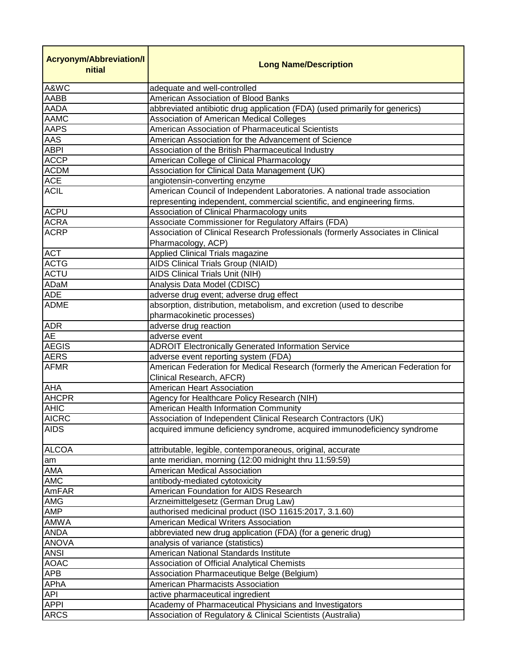| <b>Acryonym/Abbreviation/I</b><br>nitial | <b>Long Name/Description</b>                                                                          |
|------------------------------------------|-------------------------------------------------------------------------------------------------------|
| A&WC                                     | adequate and well-controlled                                                                          |
| AABB                                     | American Association of Blood Banks                                                                   |
| <b>AADA</b>                              | abbreviated antibiotic drug application (FDA) (used primarily for generics)                           |
| <b>AAMC</b>                              | Association of American Medical Colleges                                                              |
| <b>AAPS</b>                              | American Association of Pharmaceutical Scientists                                                     |
| AAS                                      | American Association for the Advancement of Science                                                   |
| <b>ABPI</b>                              | Association of the British Pharmaceutical Industry                                                    |
| <b>ACCP</b>                              | American College of Clinical Pharmacology                                                             |
| <b>ACDM</b>                              | Association for Clinical Data Management (UK)                                                         |
| <b>ACE</b>                               | angiotensin-converting enzyme                                                                         |
| <b>ACIL</b>                              | American Council of Independent Laboratories. A national trade association                            |
|                                          | representing independent, commercial scientific, and engineering firms.                               |
| <b>ACPU</b>                              | Association of Clinical Pharmacology units                                                            |
| <b>ACRA</b>                              | Associate Commissioner for Regulatory Affairs (FDA)                                                   |
| <b>ACRP</b>                              | Association of Clinical Research Professionals (formerly Associates in Clinical<br>Pharmacology, ACP) |
| <b>ACT</b>                               | Applied Clinical Trials magazine                                                                      |
| <b>ACTG</b>                              | AIDS Clinical Trials Group (NIAID)                                                                    |
| <b>ACTU</b>                              | <b>AIDS Clinical Trials Unit (NIH)</b>                                                                |
| ADaM                                     | Analysis Data Model (CDISC)                                                                           |
| <b>ADE</b>                               | adverse drug event; adverse drug effect                                                               |
| <b>ADME</b>                              | absorption, distribution, metabolism, and excretion (used to describe                                 |
|                                          | pharmacokinetic processes)                                                                            |
| <b>ADR</b>                               | adverse drug reaction                                                                                 |
| <b>AE</b>                                | adverse event                                                                                         |
| <b>AEGIS</b>                             | <b>ADROIT Electronically Generated Information Service</b>                                            |
| <b>AERS</b>                              | adverse event reporting system (FDA)                                                                  |
| <b>AFMR</b>                              | American Federation for Medical Research (formerly the American Federation for                        |
|                                          | Clinical Research, AFCR)                                                                              |
| <b>AHA</b>                               | <b>American Heart Association</b>                                                                     |
| <b>AHCPR</b>                             | Agency for Healthcare Policy Research (NIH)                                                           |
| <b>AHIC</b>                              | American Health Information Community                                                                 |
| <b>AICRC</b>                             | Association of Independent Clinical Research Contractors (UK)                                         |
| <b>AIDS</b>                              | acquired immune deficiency syndrome, acquired immunodeficiency syndrome                               |
|                                          |                                                                                                       |
| <b>ALCOA</b>                             | attributable, legible, contemporaneous, original, accurate                                            |
| am                                       | ante meridian, morning (12:00 midnight thru 11:59:59)                                                 |
| AMA                                      | American Medical Association                                                                          |
| <b>AMC</b>                               | antibody-mediated cytotoxicity                                                                        |
| AmFAR                                    | American Foundation for AIDS Research                                                                 |
| <b>AMG</b>                               | Arzneimittelgesetz (German Drug Law)                                                                  |
| <b>AMP</b>                               | authorised medicinal product (ISO 11615:2017, 3.1.60)                                                 |
| <b>AMWA</b>                              | American Medical Writers Association                                                                  |
| <b>ANDA</b>                              | abbreviated new drug application (FDA) (for a generic drug)                                           |
| <b>ANOVA</b>                             | analysis of variance (statistics)                                                                     |
| <b>ANSI</b>                              | American National Standards Institute                                                                 |
| <b>AOAC</b>                              | <b>Association of Official Analytical Chemists</b>                                                    |
| <b>APB</b>                               | Association Pharmaceutique Belge (Belgium)                                                            |
| APhA                                     | American Pharmacists Association                                                                      |
| <b>API</b>                               | active pharmaceutical ingredient                                                                      |
| <b>APPI</b>                              | Academy of Pharmaceutical Physicians and Investigators                                                |
| <b>ARCS</b>                              | Association of Regulatory & Clinical Scientists (Australia)                                           |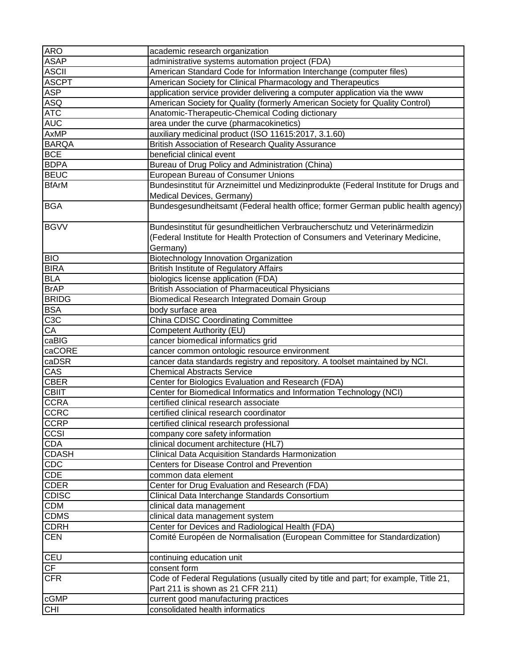| <b>ARO</b>   | academic research organization                                                       |
|--------------|--------------------------------------------------------------------------------------|
| <b>ASAP</b>  | administrative systems automation project (FDA)                                      |
| <b>ASCII</b> | American Standard Code for Information Interchange (computer files)                  |
| <b>ASCPT</b> | American Society for Clinical Pharmacology and Therapeutics                          |
| <b>ASP</b>   | application service provider delivering a computer application via the www           |
| <b>ASQ</b>   | American Society for Quality (formerly American Society for Quality Control)         |
| <b>ATC</b>   | Anatomic-Therapeutic-Chemical Coding dictionary                                      |
| <b>AUC</b>   | area under the curve (pharmacokinetics)                                              |
| AxMP         | auxiliary medicinal product (ISO 11615:2017, 3.1.60)                                 |
| <b>BARQA</b> | British Association of Research Quality Assurance                                    |
| <b>BCE</b>   | beneficial clinical event                                                            |
| <b>BDPA</b>  | Bureau of Drug Policy and Administration (China)                                     |
| <b>BEUC</b>  | European Bureau of Consumer Unions                                                   |
| <b>BfArM</b> | Bundesinstitut für Arzneimittel und Medizinprodukte (Federal Institute for Drugs and |
|              | Medical Devices, Germany)                                                            |
| <b>BGA</b>   | Bundesgesundheitsamt (Federal health office; former German public health agency)     |
|              |                                                                                      |
| <b>BGVV</b>  | Bundesinstitut für gesundheitlichen Verbraucherschutz und Veterinärmedizin           |
|              | (Federal Institute for Health Protection of Consumers and Veterinary Medicine,       |
|              | Germany)                                                                             |
| <b>BIO</b>   | Biotechnology Innovation Organization                                                |
| <b>BIRA</b>  | <b>British Institute of Regulatory Affairs</b>                                       |
| <b>BLA</b>   | biologics license application (FDA)                                                  |
| <b>BrAP</b>  | <b>British Association of Pharmaceutical Physicians</b>                              |
| <b>BRIDG</b> | Biomedical Research Integrated Domain Group                                          |
| <b>BSA</b>   | body surface area                                                                    |
| C3C          | <b>China CDISC Coordinating Committee</b>                                            |
| CA           | Competent Authority (EU)                                                             |
| caBIG        | cancer biomedical informatics grid                                                   |
| caCORE       | cancer common ontologic resource environment                                         |
| caDSR        | cancer data standards registry and repository. A toolset maintained by NCI.          |
| CAS          | <b>Chemical Abstracts Service</b>                                                    |
| <b>CBER</b>  | Center for Biologics Evaluation and Research (FDA)                                   |
| <b>CBIIT</b> | Center for Biomedical Informatics and Information Technology (NCI)                   |
| <b>CCRA</b>  | certified clinical research associate                                                |
| CCRC         |                                                                                      |
|              | certified clinical research coordinator                                              |
| <b>CCRP</b>  | certified clinical research professional                                             |
| CCSI         | company core safety information                                                      |
| CDA          | clinical document architecture (HL7)                                                 |
| <b>CDASH</b> | Clinical Data Acquisition Standards Harmonization                                    |
| CDC          | <b>Centers for Disease Control and Prevention</b>                                    |
| CDE          | common data element                                                                  |
| <b>CDER</b>  | Center for Drug Evaluation and Research (FDA)                                        |
| CDISC        | Clinical Data Interchange Standards Consortium                                       |
| <b>CDM</b>   | clinical data management                                                             |
| <b>CDMS</b>  | clinical data management system                                                      |
| <b>CDRH</b>  | Center for Devices and Radiological Health (FDA)                                     |
| <b>CEN</b>   | Comité Européen de Normalisation (European Committee for Standardization)            |
| <b>CEU</b>   | continuing education unit                                                            |
| CF           | consent form                                                                         |
| <b>CFR</b>   | Code of Federal Regulations (usually cited by title and part; for example, Title 21, |
|              | Part 211 is shown as 21 CFR 211)                                                     |
| cGMP         | current good manufacturing practices                                                 |
| <b>CHI</b>   | consolidated health informatics                                                      |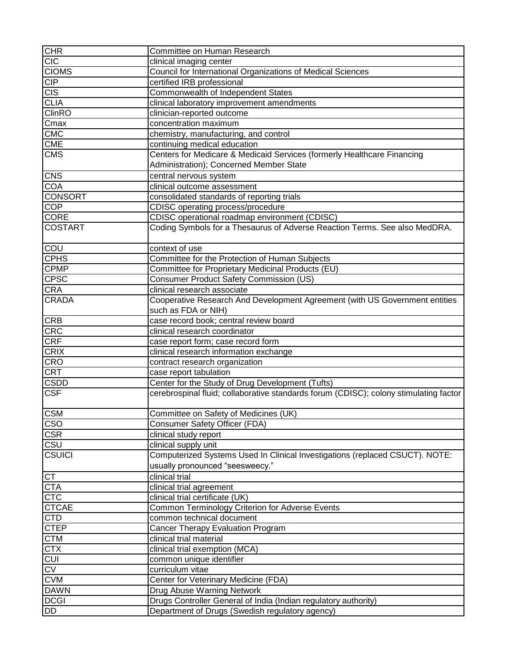| <b>CHR</b>              | Committee on Human Research                                                           |
|-------------------------|---------------------------------------------------------------------------------------|
| <b>CIC</b>              | clinical imaging center                                                               |
| <b>CIOMS</b>            | Council for International Organizations of Medical Sciences                           |
| CIP                     | certified IRB professional                                                            |
| <b>CIS</b>              | Commonwealth of Independent States                                                    |
| <b>CLIA</b>             | clinical laboratory improvement amendments                                            |
| <b>ClinRO</b>           | clinician-reported outcome                                                            |
| Cmax                    | concentration maximum                                                                 |
| <b>CMC</b>              | chemistry, manufacturing, and control                                                 |
| <b>CME</b>              | continuing medical education                                                          |
| <b>CMS</b>              | Centers for Medicare & Medicaid Services (formerly Healthcare Financing               |
|                         | Administration); Concerned Member State                                               |
| <b>CNS</b>              | central nervous system                                                                |
| <b>COA</b>              | clinical outcome assessment                                                           |
| <b>CONSORT</b>          | consolidated standards of reporting trials                                            |
| <b>COP</b>              | CDISC operating process/procedure                                                     |
| CORE                    | CDISC operational roadmap environment (CDISC)                                         |
| <b>COSTART</b>          | Coding Symbols for a Thesaurus of Adverse Reaction Terms. See also MedDRA.            |
|                         |                                                                                       |
| COU                     | context of use                                                                        |
| <b>CPHS</b>             | Committee for the Protection of Human Subjects                                        |
| $C$ PMP                 | Committee for Proprietary Medicinal Products (EU)                                     |
| CPSC                    | <b>Consumer Product Safety Commission (US)</b>                                        |
| <b>CRA</b>              | clinical research associate                                                           |
| <b>CRADA</b>            | Cooperative Research And Development Agreement (with US Government entities           |
|                         | such as FDA or NIH)                                                                   |
| <b>CRB</b>              | case record book; central review board                                                |
| <b>CRC</b>              | clinical research coordinator                                                         |
| <b>CRF</b>              | case report form; case record form                                                    |
| <b>CRIX</b>             | clinical research information exchange                                                |
| <b>CRO</b>              | contract research organization                                                        |
| <b>CRT</b>              | case report tabulation                                                                |
| $C\overline{SDD}$       | Center for the Study of Drug Development (Tufts)                                      |
| <b>CSF</b>              | cerebrospinal fluid; collaborative standards forum (CDISC); colony stimulating factor |
|                         |                                                                                       |
| <b>CSM</b>              | Committee on Safety of Medicines (UK)                                                 |
| $\overline{\text{cso}}$ | <b>Consumer Safety Officer (FDA)</b>                                                  |
| <b>CSR</b>              | clinical study report                                                                 |
| <b>CSU</b>              | clinical supply unit                                                                  |
| <b>CSUICI</b>           | Computerized Systems Used In Clinical Investigations (replaced CSUCT). NOTE:          |
|                         | usually pronounced "seesweecy."                                                       |
| <b>CT</b>               | clinical trial                                                                        |
| <b>CTA</b>              | clinical trial agreement                                                              |
| CTC                     | clinical trial certificate (UK)                                                       |
| <b>CTCAE</b>            | Common Terminology Criterion for Adverse Events                                       |
| <b>CTD</b>              | common technical document                                                             |
| <b>CTEP</b>             | Cancer Therapy Evaluation Program                                                     |
| CTM                     | clinical trial material                                                               |
| <b>CTX</b>              | clinical trial exemption (MCA)                                                        |
| <b>CUI</b>              | common unique identifier                                                              |
| $\overline{\text{CV}}$  | curriculum vitae                                                                      |
| <b>CVM</b>              | Center for Veterinary Medicine (FDA)                                                  |
| <b>DAWN</b>             | <b>Drug Abuse Warning Network</b>                                                     |
| <b>DCGI</b>             | Drugs Controller General of India (Indian regulatory authority)                       |
|                         |                                                                                       |
| DD                      | Department of Drugs (Swedish regulatory agency)                                       |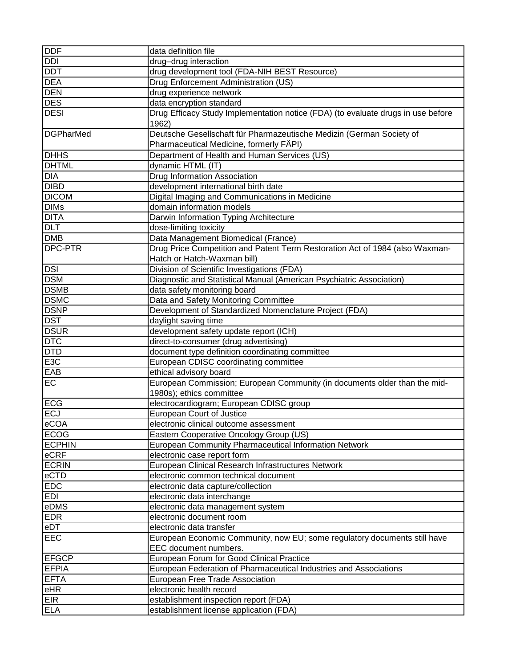| <b>DDF</b>               | data definition file                                                                     |
|--------------------------|------------------------------------------------------------------------------------------|
| <b>DDI</b>               | drug-drug interaction                                                                    |
| <b>DDT</b>               | drug development tool (FDA-NIH BEST Resource)                                            |
| <b>DEA</b>               | Drug Enforcement Administration (US)                                                     |
| <b>DEN</b>               | drug experience network                                                                  |
| <b>DES</b>               | data encryption standard                                                                 |
| <b>DESI</b>              | Drug Efficacy Study Implementation notice (FDA) (to evaluate drugs in use before         |
|                          | 1962)                                                                                    |
| <b>DGPharMed</b>         | Deutsche Gesellschaft für Pharmazeutische Medizin (German Society of                     |
|                          | Pharmaceutical Medicine, formerly FÄPI)                                                  |
| <b>DHHS</b>              | Department of Health and Human Services (US)                                             |
| <b>DHTML</b>             | dynamic HTML (IT)                                                                        |
| <b>DIA</b>               | Drug Information Association                                                             |
| <b>DIBD</b>              | development international birth date                                                     |
| <b>DICOM</b>             | Digital Imaging and Communications in Medicine                                           |
| <b>DIMs</b>              | domain information models                                                                |
| <b>DITA</b>              | Darwin Information Typing Architecture                                                   |
| <b>DLT</b>               | dose-limiting toxicity                                                                   |
| <b>DMB</b>               | Data Management Biomedical (France)                                                      |
| DPC-PTR                  | Drug Price Competition and Patent Term Restoration Act of 1984 (also Waxman-             |
|                          | Hatch or Hatch-Waxman bill)                                                              |
| <b>DSI</b>               | Division of Scientific Investigations (FDA)                                              |
| <b>DSM</b>               | Diagnostic and Statistical Manual (American Psychiatric Association)                     |
| <b>DSMB</b>              | data safety monitoring board                                                             |
| <b>DSMC</b>              | Data and Safety Monitoring Committee                                                     |
| <b>DSNP</b>              | Development of Standardized Nomenclature Project (FDA)                                   |
| <b>DST</b>               | daylight saving time                                                                     |
| <b>DSUR</b>              |                                                                                          |
| $DT\overline{C}$         | development safety update report (ICH)                                                   |
| <b>DTD</b>               | direct-to-consumer (drug advertising)<br>document type definition coordinating committee |
| E <sub>3</sub> C         | European CDISC coordinating committee                                                    |
| EAB                      | ethical advisory board                                                                   |
| <b>EC</b>                | European Commission; European Community (in documents older than the mid-                |
|                          | 1980s); ethics committee                                                                 |
| <b>ECG</b>               | electrocardiogram; European CDISC group                                                  |
| ECJ                      | <b>European Court of Justice</b>                                                         |
| eCOA                     | electronic clinical outcome assessment                                                   |
| <b>ECOG</b>              | Eastern Cooperative Oncology Group (US)                                                  |
| <b>ECPHIN</b>            | European Community Pharmaceutical Information Network                                    |
| eCRF                     | electronic case report form                                                              |
| <b>ECRIN</b>             | European Clinical Research Infrastructures Network                                       |
| eCTD                     | electronic common technical document                                                     |
| <b>EDC</b>               | electronic data capture/collection                                                       |
| <b>EDI</b>               | electronic data interchange                                                              |
| eDMS                     | electronic data management system                                                        |
| <b>EDR</b>               | electronic document room                                                                 |
| eDT                      | electronic data transfer                                                                 |
| <b>EEC</b>               | European Economic Community, now EU; some regulatory documents still have                |
|                          | EEC document numbers.                                                                    |
| <b>EFGCP</b>             | European Forum for Good Clinical Practice                                                |
| <b>EFPIA</b>             | European Federation of Pharmaceutical Industries and Associations                        |
| <b>EFTA</b>              | European Free Trade Association                                                          |
| eHR                      | electronic health record                                                                 |
|                          |                                                                                          |
| <b>EIR</b><br><b>ELA</b> | establishment inspection report (FDA)                                                    |
|                          | establishment license application (FDA)                                                  |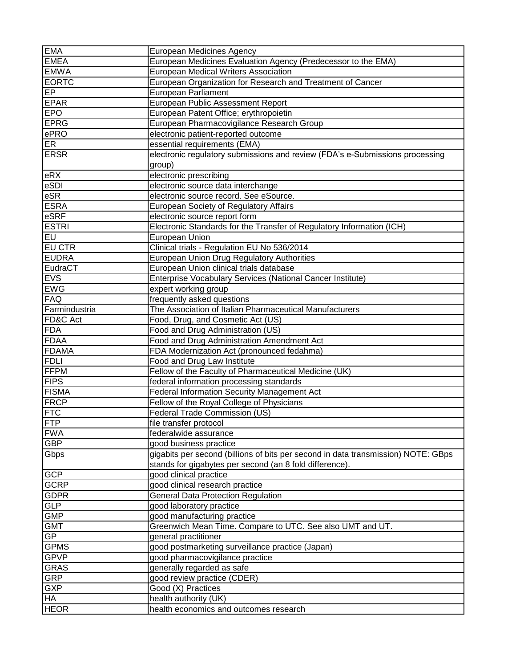| <b>EMA</b>    | European Medicines Agency                                                                              |
|---------------|--------------------------------------------------------------------------------------------------------|
| <b>EMEA</b>   | European Medicines Evaluation Agency (Predecessor to the EMA)                                          |
| <b>EMWA</b>   | <b>European Medical Writers Association</b>                                                            |
| <b>EORTC</b>  | European Organization for Research and Treatment of Cancer                                             |
| <b>EP</b>     | <b>European Parliament</b>                                                                             |
| <b>EPAR</b>   | <b>European Public Assessment Report</b>                                                               |
| <b>EPO</b>    | European Patent Office; erythropoietin                                                                 |
| <b>EPRG</b>   | European Pharmacovigilance Research Group                                                              |
| ePRO          | electronic patient-reported outcome                                                                    |
| ER            | essential requirements (EMA)                                                                           |
| <b>ERSR</b>   | electronic regulatory submissions and review (FDA's e-Submissions processing                           |
|               | group)                                                                                                 |
| eRX           | electronic prescribing                                                                                 |
| eSDI          | electronic source data interchange                                                                     |
| eSR           | electronic source record. See eSource.                                                                 |
| <b>ESRA</b>   | European Society of Regulatory Affairs                                                                 |
| eSRF          |                                                                                                        |
| <b>ESTRI</b>  | electronic source report form<br>Electronic Standards for the Transfer of Regulatory Information (ICH) |
|               |                                                                                                        |
| EU            | European Union                                                                                         |
| <b>EU CTR</b> | Clinical trials - Regulation EU No 536/2014                                                            |
| <b>EUDRA</b>  | European Union Drug Regulatory Authorities                                                             |
| EudraCT       | European Union clinical trials database                                                                |
| <b>EVS</b>    | Enterprise Vocabulary Services (National Cancer Institute)                                             |
| <b>EWG</b>    | expert working group                                                                                   |
| <b>FAQ</b>    | frequently asked questions                                                                             |
| Farmindustria | The Association of Italian Pharmaceutical Manufacturers                                                |
| FD&C Act      | Food, Drug, and Cosmetic Act (US)                                                                      |
| <b>FDA</b>    | Food and Drug Administration (US)                                                                      |
| <b>FDAA</b>   | Food and Drug Administration Amendment Act                                                             |
| <b>FDAMA</b>  | FDA Modernization Act (pronounced fedahma)                                                             |
| <b>FDLI</b>   | Food and Drug Law Institute                                                                            |
| <b>FFPM</b>   | Fellow of the Faculty of Pharmaceutical Medicine (UK)                                                  |
| <b>FIPS</b>   | federal information processing standards                                                               |
| <b>FISMA</b>  | Federal Information Security Management Act                                                            |
| <b>FRCP</b>   | Fellow of the Royal College of Physicians                                                              |
| <b>FTC</b>    | Federal Trade Commission (US)                                                                          |
| <b>FTP</b>    | file transfer protocol                                                                                 |
| <b>FWA</b>    | federalwide assurance                                                                                  |
| <b>GBP</b>    | good business practice                                                                                 |
| Gbps          | gigabits per second (billions of bits per second in data transmission) NOTE: GBps                      |
|               | stands for gigabytes per second (an 8 fold difference).                                                |
| <b>GCP</b>    | good clinical practice                                                                                 |
| <b>GCRP</b>   | good clinical research practice                                                                        |
| <b>GDPR</b>   | <b>General Data Protection Regulation</b>                                                              |
| <b>GLP</b>    | good laboratory practice                                                                               |
| <b>GMP</b>    | good manufacturing practice                                                                            |
| <b>GMT</b>    | Greenwich Mean Time. Compare to UTC. See also UMT and UT.                                              |
| GP            | general practitioner                                                                                   |
| <b>GPMS</b>   | good postmarketing surveillance practice (Japan)                                                       |
| <b>GPVP</b>   | good pharmacovigilance practice                                                                        |
| <b>GRAS</b>   | generally regarded as safe                                                                             |
| <b>GRP</b>    | good review practice (CDER)                                                                            |
| <b>GXP</b>    | Good (X) Practices                                                                                     |
| <b>HA</b>     | health authority (UK)                                                                                  |
| <b>HEOR</b>   | health economics and outcomes research                                                                 |
|               |                                                                                                        |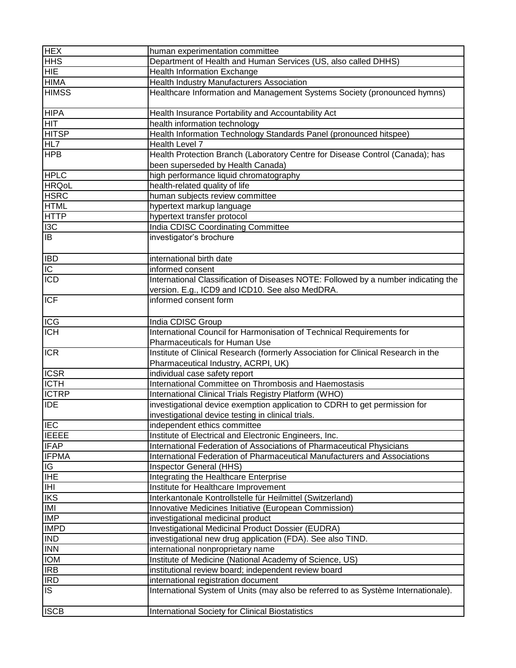| <b>HEX</b>               | human experimentation committee                                                                                                                    |
|--------------------------|----------------------------------------------------------------------------------------------------------------------------------------------------|
| <b>HHS</b>               | Department of Health and Human Services (US, also called DHHS)                                                                                     |
| <b>HIE</b>               | <b>Health Information Exchange</b>                                                                                                                 |
| <b>HIMA</b>              | <b>Health Industry Manufacturers Association</b>                                                                                                   |
| <b>HIMSS</b>             | Healthcare Information and Management Systems Society (pronounced hymns)                                                                           |
|                          |                                                                                                                                                    |
| <b>HIPA</b>              | Health Insurance Portability and Accountability Act                                                                                                |
| <b>HIT</b>               | health information technology                                                                                                                      |
| <b>HITSP</b>             | Health Information Technology Standards Panel (pronounced hitspee)                                                                                 |
| HL7                      | Health Level 7                                                                                                                                     |
| <b>HPB</b>               | Health Protection Branch (Laboratory Centre for Disease Control (Canada); has                                                                      |
|                          | been superseded by Health Canada)                                                                                                                  |
| <b>HPLC</b>              | high performance liquid chromatography                                                                                                             |
| <b>HRQoL</b>             | health-related quality of life                                                                                                                     |
| <b>HSRC</b>              | human subjects review committee                                                                                                                    |
| <b>HTML</b>              | hypertext markup language                                                                                                                          |
| <b>HTTP</b>              | hypertext transfer protocol                                                                                                                        |
| 13C                      | India CDISC Coordinating Committee                                                                                                                 |
| $\overline{\mathsf{B}}$  | investigator's brochure                                                                                                                            |
|                          |                                                                                                                                                    |
| <b>IBD</b>               | international birth date                                                                                                                           |
| $\overline{IC}$          | informed consent                                                                                                                                   |
| <b>ICD</b>               | International Classification of Diseases NOTE: Followed by a number indicating the                                                                 |
|                          | version. E.g., ICD9 and ICD10. See also MedDRA.                                                                                                    |
| <b>ICF</b>               | informed consent form                                                                                                                              |
|                          |                                                                                                                                                    |
|                          |                                                                                                                                                    |
| <b>ICG</b><br><b>ICH</b> | India CDISC Group<br>International Council for Harmonisation of Technical Requirements for                                                         |
|                          |                                                                                                                                                    |
| <b>ICR</b>               | Pharmaceuticals for Human Use                                                                                                                      |
|                          | Institute of Clinical Research (formerly Association for Clinical Research in the                                                                  |
| <b>ICSR</b>              | Pharmaceutical Industry, ACRPI, UK)                                                                                                                |
| <b>ICTH</b>              | individual case safety report<br>International Committee on Thrombosis and Haemostasis                                                             |
| <b>ICTRP</b>             |                                                                                                                                                    |
| <b>IDE</b>               | International Clinical Trials Registry Platform (WHO)                                                                                              |
|                          | investigational device exemption application to CDRH to get permission for                                                                         |
| <b>IEC</b>               | investigational device testing in clinical trials.                                                                                                 |
| <b>IEEEE</b>             | independent ethics committee                                                                                                                       |
| <b>IFAP</b>              | Institute of Electrical and Electronic Engineers, Inc.                                                                                             |
| <b>IFPMA</b>             | International Federation of Associations of Pharmaceutical Physicians<br>International Federation of Pharmaceutical Manufacturers and Associations |
|                          |                                                                                                                                                    |
| IG<br><b>IHE</b>         | Inspector General (HHS)<br>Integrating the Healthcare Enterprise                                                                                   |
|                          | Institute for Healthcare Improvement                                                                                                               |
| Ξ                        |                                                                                                                                                    |
| <b>IKS</b><br>IMI        | Interkantonale Kontrollstelle für Heilmittel (Switzerland)                                                                                         |
| <b>IMP</b>               | Innovative Medicines Initiative (European Commission)                                                                                              |
|                          | investigational medicinal product                                                                                                                  |
| <b>IMPD</b>              | <b>Investigational Medicinal Product Dossier (EUDRA)</b>                                                                                           |
| <b>IND</b>               | investigational new drug application (FDA). See also TIND.                                                                                         |
| <b>INN</b>               | international nonproprietary name                                                                                                                  |
| <b>IOM</b>               | Institute of Medicine (National Academy of Science, US)                                                                                            |
| <b>IRB</b>               | institutional review board; independent review board                                                                                               |
| <b>IRD</b>               | international registration document                                                                                                                |
| IS.                      | International System of Units (may also be referred to as Système Internationale).                                                                 |
| <b>ISCB</b>              | <b>International Society for Clinical Biostatistics</b>                                                                                            |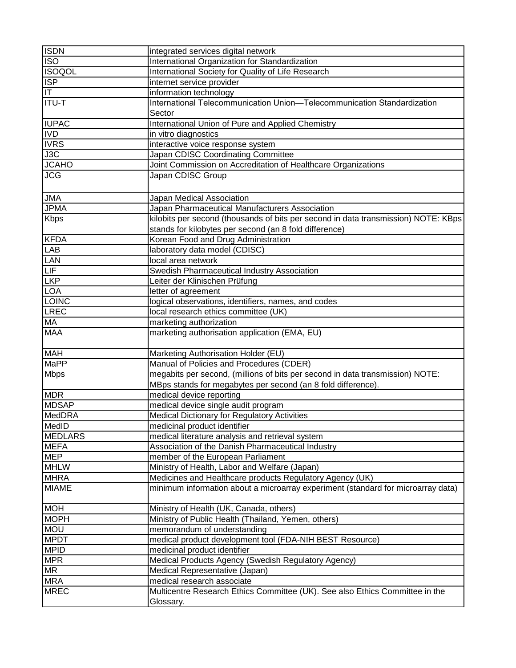| <b>ISDN</b>    | integrated services digital network                                                |
|----------------|------------------------------------------------------------------------------------|
| <b>ISO</b>     | International Organization for Standardization                                     |
| <b>ISOQOL</b>  | International Society for Quality of Life Research                                 |
| <b>ISP</b>     | internet service provider                                                          |
| $ \mathsf{T} $ | information technology                                                             |
| <b>ITU-T</b>   | International Telecommunication Union-Telecommunication Standardization            |
|                | Sector                                                                             |
| <b>IUPAC</b>   | International Union of Pure and Applied Chemistry                                  |
| <b>IVD</b>     | in vitro diagnostics                                                               |
| <b>IVRS</b>    | interactive voice response system                                                  |
| J3C            | Japan CDISC Coordinating Committee                                                 |
| <b>JCAHO</b>   | Joint Commission on Accreditation of Healthcare Organizations                      |
| <b>JCG</b>     | Japan CDISC Group                                                                  |
| <b>JMA</b>     | Japan Medical Association                                                          |
| <b>JPMA</b>    | Japan Pharmaceutical Manufacturers Association                                     |
| <b>Kbps</b>    | kilobits per second (thousands of bits per second in data transmission) NOTE: KBps |
|                | stands for kilobytes per second (an 8 fold difference)                             |
| <b>KFDA</b>    | Korean Food and Drug Administration                                                |
| <b>LAB</b>     | laboratory data model (CDISC)                                                      |
| LAN            | local area network                                                                 |
| LIF            | Swedish Pharmaceutical Industry Association                                        |
| <b>LKP</b>     | Leiter der Klinischen Prüfung                                                      |
| <b>LOA</b>     | letter of agreement                                                                |
| LOINC          | logical observations, identifiers, names, and codes                                |
| LREC           | local research ethics committee (UK)                                               |
| MA             | marketing authorization                                                            |
| <b>MAA</b>     | marketing authorisation application (EMA, EU)                                      |
| <b>MAH</b>     | Marketing Authorisation Holder (EU)                                                |
| <b>MaPP</b>    | Manual of Policies and Procedures (CDER)                                           |
| <b>Mbps</b>    | megabits per second, (millions of bits per second in data transmission) NOTE:      |
|                | MBps stands for megabytes per second (an 8 fold difference).                       |
| <b>MDR</b>     | medical device reporting                                                           |
| <b>MDSAP</b>   | medical device single audit program                                                |
| MedDRA         | <b>Medical Dictionary for Regulatory Activities</b>                                |
| MedID          | medicinal product identifier                                                       |
| <b>MEDLARS</b> | medical literature analysis and retrieval system                                   |
| <b>MEFA</b>    | Association of the Danish Pharmaceutical Industry                                  |
| <b>MEP</b>     | member of the European Parliament                                                  |
| <b>MHLW</b>    | Ministry of Health, Labor and Welfare (Japan)                                      |
| <b>MHRA</b>    | Medicines and Healthcare products Regulatory Agency (UK)                           |
| <b>MIAME</b>   | minimum information about a microarray experiment (standard for microarray data)   |
| <b>MOH</b>     | Ministry of Health (UK, Canada, others)                                            |
| <b>MOPH</b>    | Ministry of Public Health (Thailand, Yemen, others)                                |
| <b>MOU</b>     | memorandum of understanding                                                        |
| <b>MPDT</b>    | medical product development tool (FDA-NIH BEST Resource)                           |
| <b>MPID</b>    | medicinal product identifier                                                       |
| <b>MPR</b>     | Medical Products Agency (Swedish Regulatory Agency)                                |
| <b>MR</b>      | Medical Representative (Japan)                                                     |
| <b>MRA</b>     | medical research associate                                                         |
| <b>MREC</b>    | Multicentre Research Ethics Committee (UK). See also Ethics Committee in the       |
|                | Glossary.                                                                          |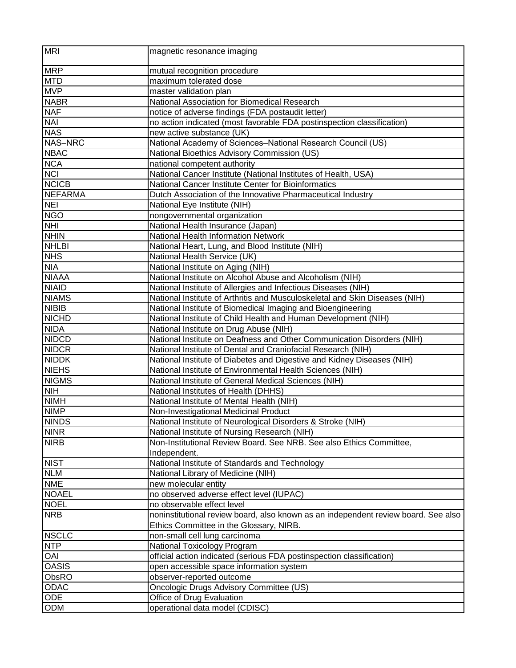| mutual recognition procedure<br><b>MTD</b><br>maximum tolerated dose<br>master validation plan<br><b>NABR</b><br>National Association for Biomedical Research<br><b>NAF</b><br>notice of adverse findings (FDA postaudit letter)<br><b>NAI</b><br>no action indicated (most favorable FDA postinspection classification)<br><b>NAS</b><br>new active substance (UK)<br>National Academy of Sciences-National Research Council (US)<br><b>NBAC</b><br>National Bioethics Advisory Commission (US)<br><b>NCA</b><br>national competent authority<br><b>NCI</b><br>National Cancer Institute (National Institutes of Health, USA)<br><b>NCICB</b><br>National Cancer Institute Center for Bioinformatics<br><b>NEFARMA</b><br>Dutch Association of the Innovative Pharmaceutical Industry<br><b>NEI</b><br>National Eye Institute (NIH)<br><b>NGO</b><br>nongovernmental organization<br><b>NHI</b><br>National Health Insurance (Japan)<br><b>NHIN</b><br>National Health Information Network<br><b>NHLBI</b><br>National Heart, Lung, and Blood Institute (NIH)<br><b>NHS</b><br>National Health Service (UK)<br><b>NIA</b><br>National Institute on Aging (NIH)<br><b>NIAAA</b><br>National Institute on Alcohol Abuse and Alcoholism (NIH)<br><b>NIAID</b><br>National Institute of Allergies and Infectious Diseases (NIH)<br><b>NIAMS</b><br>National Institute of Arthritis and Musculoskeletal and Skin Diseases (NIH)<br><b>NIBIB</b><br>National Institute of Biomedical Imaging and Bioengineering<br><b>NICHD</b><br>National Institute of Child Health and Human Development (NIH)<br><b>NIDA</b><br>National Institute on Drug Abuse (NIH)<br><b>NIDCD</b><br>National Institute on Deafness and Other Communication Disorders (NIH)<br><b>NIDCR</b><br>National Institute of Dental and Craniofacial Research (NIH)<br><b>NIDDK</b><br>National Institute of Diabetes and Digestive and Kidney Diseases (NIH)<br><b>NIEHS</b><br>National Institute of Environmental Health Sciences (NIH)<br><b>NIGMS</b><br>National Institute of General Medical Sciences (NIH)<br><b>NIH</b><br>National Institutes of Health (DHHS)<br><b>NIMH</b><br>National Institute of Mental Health (NIH)<br><b>NIMP</b><br>Non-Investigational Medicinal Product<br><b>NINDS</b><br>National Institute of Neurological Disorders & Stroke (NIH)<br><b>NINR</b><br>National Institute of Nursing Research (NIH)<br>Non-Institutional Review Board. See NRB. See also Ethics Committee,<br><b>NIRB</b><br>Independent.<br><b>NIST</b><br>National Institute of Standards and Technology<br><b>NLM</b><br>National Library of Medicine (NIH)<br><b>NME</b><br>new molecular entity<br>no observed adverse effect level (IUPAC)<br><b>NOAEL</b><br><b>NOEL</b><br>no observable effect level<br><b>NRB</b><br>noninstitutional review board, also known as an independent review board. See also<br>Ethics Committee in the Glossary, NIRB.<br><b>NSCLC</b><br>non-small cell lung carcinoma<br><b>NTP</b><br>National Toxicology Program<br><b>OAI</b><br>official action indicated (serious FDA postinspection classification)<br><b>OASIS</b><br>open accessible space information system<br>ObsRO<br>observer-reported outcome<br>ODAC<br>Oncologic Drugs Advisory Committee (US)<br><b>ODE</b><br>Office of Drug Evaluation<br>ODM<br>operational data model (CDISC) | <b>MRI</b>     | magnetic resonance imaging |
|---------------------------------------------------------------------------------------------------------------------------------------------------------------------------------------------------------------------------------------------------------------------------------------------------------------------------------------------------------------------------------------------------------------------------------------------------------------------------------------------------------------------------------------------------------------------------------------------------------------------------------------------------------------------------------------------------------------------------------------------------------------------------------------------------------------------------------------------------------------------------------------------------------------------------------------------------------------------------------------------------------------------------------------------------------------------------------------------------------------------------------------------------------------------------------------------------------------------------------------------------------------------------------------------------------------------------------------------------------------------------------------------------------------------------------------------------------------------------------------------------------------------------------------------------------------------------------------------------------------------------------------------------------------------------------------------------------------------------------------------------------------------------------------------------------------------------------------------------------------------------------------------------------------------------------------------------------------------------------------------------------------------------------------------------------------------------------------------------------------------------------------------------------------------------------------------------------------------------------------------------------------------------------------------------------------------------------------------------------------------------------------------------------------------------------------------------------------------------------------------------------------------------------------------------------------------------------------------------------------------------------------------------------------------------------------------------------------------------------------------------------------------------------------------------------------------------------------------------------------------------------------------------------------------------------------------------------------------------------------------------------------------------------------------------------------------------------------------------------------------------------------------------------------------------------------------------------------------------------------------------------------------------------------------------------------------------------------------------------------|----------------|----------------------------|
|                                                                                                                                                                                                                                                                                                                                                                                                                                                                                                                                                                                                                                                                                                                                                                                                                                                                                                                                                                                                                                                                                                                                                                                                                                                                                                                                                                                                                                                                                                                                                                                                                                                                                                                                                                                                                                                                                                                                                                                                                                                                                                                                                                                                                                                                                                                                                                                                                                                                                                                                                                                                                                                                                                                                                                                                                                                                                                                                                                                                                                                                                                                                                                                                                                                                                                                                                               | <b>MRP</b>     |                            |
|                                                                                                                                                                                                                                                                                                                                                                                                                                                                                                                                                                                                                                                                                                                                                                                                                                                                                                                                                                                                                                                                                                                                                                                                                                                                                                                                                                                                                                                                                                                                                                                                                                                                                                                                                                                                                                                                                                                                                                                                                                                                                                                                                                                                                                                                                                                                                                                                                                                                                                                                                                                                                                                                                                                                                                                                                                                                                                                                                                                                                                                                                                                                                                                                                                                                                                                                                               |                |                            |
|                                                                                                                                                                                                                                                                                                                                                                                                                                                                                                                                                                                                                                                                                                                                                                                                                                                                                                                                                                                                                                                                                                                                                                                                                                                                                                                                                                                                                                                                                                                                                                                                                                                                                                                                                                                                                                                                                                                                                                                                                                                                                                                                                                                                                                                                                                                                                                                                                                                                                                                                                                                                                                                                                                                                                                                                                                                                                                                                                                                                                                                                                                                                                                                                                                                                                                                                                               | <b>MVP</b>     |                            |
|                                                                                                                                                                                                                                                                                                                                                                                                                                                                                                                                                                                                                                                                                                                                                                                                                                                                                                                                                                                                                                                                                                                                                                                                                                                                                                                                                                                                                                                                                                                                                                                                                                                                                                                                                                                                                                                                                                                                                                                                                                                                                                                                                                                                                                                                                                                                                                                                                                                                                                                                                                                                                                                                                                                                                                                                                                                                                                                                                                                                                                                                                                                                                                                                                                                                                                                                                               |                |                            |
|                                                                                                                                                                                                                                                                                                                                                                                                                                                                                                                                                                                                                                                                                                                                                                                                                                                                                                                                                                                                                                                                                                                                                                                                                                                                                                                                                                                                                                                                                                                                                                                                                                                                                                                                                                                                                                                                                                                                                                                                                                                                                                                                                                                                                                                                                                                                                                                                                                                                                                                                                                                                                                                                                                                                                                                                                                                                                                                                                                                                                                                                                                                                                                                                                                                                                                                                                               |                |                            |
|                                                                                                                                                                                                                                                                                                                                                                                                                                                                                                                                                                                                                                                                                                                                                                                                                                                                                                                                                                                                                                                                                                                                                                                                                                                                                                                                                                                                                                                                                                                                                                                                                                                                                                                                                                                                                                                                                                                                                                                                                                                                                                                                                                                                                                                                                                                                                                                                                                                                                                                                                                                                                                                                                                                                                                                                                                                                                                                                                                                                                                                                                                                                                                                                                                                                                                                                                               |                |                            |
|                                                                                                                                                                                                                                                                                                                                                                                                                                                                                                                                                                                                                                                                                                                                                                                                                                                                                                                                                                                                                                                                                                                                                                                                                                                                                                                                                                                                                                                                                                                                                                                                                                                                                                                                                                                                                                                                                                                                                                                                                                                                                                                                                                                                                                                                                                                                                                                                                                                                                                                                                                                                                                                                                                                                                                                                                                                                                                                                                                                                                                                                                                                                                                                                                                                                                                                                                               |                |                            |
|                                                                                                                                                                                                                                                                                                                                                                                                                                                                                                                                                                                                                                                                                                                                                                                                                                                                                                                                                                                                                                                                                                                                                                                                                                                                                                                                                                                                                                                                                                                                                                                                                                                                                                                                                                                                                                                                                                                                                                                                                                                                                                                                                                                                                                                                                                                                                                                                                                                                                                                                                                                                                                                                                                                                                                                                                                                                                                                                                                                                                                                                                                                                                                                                                                                                                                                                                               | <b>NAS-NRC</b> |                            |
|                                                                                                                                                                                                                                                                                                                                                                                                                                                                                                                                                                                                                                                                                                                                                                                                                                                                                                                                                                                                                                                                                                                                                                                                                                                                                                                                                                                                                                                                                                                                                                                                                                                                                                                                                                                                                                                                                                                                                                                                                                                                                                                                                                                                                                                                                                                                                                                                                                                                                                                                                                                                                                                                                                                                                                                                                                                                                                                                                                                                                                                                                                                                                                                                                                                                                                                                                               |                |                            |
|                                                                                                                                                                                                                                                                                                                                                                                                                                                                                                                                                                                                                                                                                                                                                                                                                                                                                                                                                                                                                                                                                                                                                                                                                                                                                                                                                                                                                                                                                                                                                                                                                                                                                                                                                                                                                                                                                                                                                                                                                                                                                                                                                                                                                                                                                                                                                                                                                                                                                                                                                                                                                                                                                                                                                                                                                                                                                                                                                                                                                                                                                                                                                                                                                                                                                                                                                               |                |                            |
|                                                                                                                                                                                                                                                                                                                                                                                                                                                                                                                                                                                                                                                                                                                                                                                                                                                                                                                                                                                                                                                                                                                                                                                                                                                                                                                                                                                                                                                                                                                                                                                                                                                                                                                                                                                                                                                                                                                                                                                                                                                                                                                                                                                                                                                                                                                                                                                                                                                                                                                                                                                                                                                                                                                                                                                                                                                                                                                                                                                                                                                                                                                                                                                                                                                                                                                                                               |                |                            |
|                                                                                                                                                                                                                                                                                                                                                                                                                                                                                                                                                                                                                                                                                                                                                                                                                                                                                                                                                                                                                                                                                                                                                                                                                                                                                                                                                                                                                                                                                                                                                                                                                                                                                                                                                                                                                                                                                                                                                                                                                                                                                                                                                                                                                                                                                                                                                                                                                                                                                                                                                                                                                                                                                                                                                                                                                                                                                                                                                                                                                                                                                                                                                                                                                                                                                                                                                               |                |                            |
|                                                                                                                                                                                                                                                                                                                                                                                                                                                                                                                                                                                                                                                                                                                                                                                                                                                                                                                                                                                                                                                                                                                                                                                                                                                                                                                                                                                                                                                                                                                                                                                                                                                                                                                                                                                                                                                                                                                                                                                                                                                                                                                                                                                                                                                                                                                                                                                                                                                                                                                                                                                                                                                                                                                                                                                                                                                                                                                                                                                                                                                                                                                                                                                                                                                                                                                                                               |                |                            |
|                                                                                                                                                                                                                                                                                                                                                                                                                                                                                                                                                                                                                                                                                                                                                                                                                                                                                                                                                                                                                                                                                                                                                                                                                                                                                                                                                                                                                                                                                                                                                                                                                                                                                                                                                                                                                                                                                                                                                                                                                                                                                                                                                                                                                                                                                                                                                                                                                                                                                                                                                                                                                                                                                                                                                                                                                                                                                                                                                                                                                                                                                                                                                                                                                                                                                                                                                               |                |                            |
|                                                                                                                                                                                                                                                                                                                                                                                                                                                                                                                                                                                                                                                                                                                                                                                                                                                                                                                                                                                                                                                                                                                                                                                                                                                                                                                                                                                                                                                                                                                                                                                                                                                                                                                                                                                                                                                                                                                                                                                                                                                                                                                                                                                                                                                                                                                                                                                                                                                                                                                                                                                                                                                                                                                                                                                                                                                                                                                                                                                                                                                                                                                                                                                                                                                                                                                                                               |                |                            |
|                                                                                                                                                                                                                                                                                                                                                                                                                                                                                                                                                                                                                                                                                                                                                                                                                                                                                                                                                                                                                                                                                                                                                                                                                                                                                                                                                                                                                                                                                                                                                                                                                                                                                                                                                                                                                                                                                                                                                                                                                                                                                                                                                                                                                                                                                                                                                                                                                                                                                                                                                                                                                                                                                                                                                                                                                                                                                                                                                                                                                                                                                                                                                                                                                                                                                                                                                               |                |                            |
|                                                                                                                                                                                                                                                                                                                                                                                                                                                                                                                                                                                                                                                                                                                                                                                                                                                                                                                                                                                                                                                                                                                                                                                                                                                                                                                                                                                                                                                                                                                                                                                                                                                                                                                                                                                                                                                                                                                                                                                                                                                                                                                                                                                                                                                                                                                                                                                                                                                                                                                                                                                                                                                                                                                                                                                                                                                                                                                                                                                                                                                                                                                                                                                                                                                                                                                                                               |                |                            |
|                                                                                                                                                                                                                                                                                                                                                                                                                                                                                                                                                                                                                                                                                                                                                                                                                                                                                                                                                                                                                                                                                                                                                                                                                                                                                                                                                                                                                                                                                                                                                                                                                                                                                                                                                                                                                                                                                                                                                                                                                                                                                                                                                                                                                                                                                                                                                                                                                                                                                                                                                                                                                                                                                                                                                                                                                                                                                                                                                                                                                                                                                                                                                                                                                                                                                                                                                               |                |                            |
|                                                                                                                                                                                                                                                                                                                                                                                                                                                                                                                                                                                                                                                                                                                                                                                                                                                                                                                                                                                                                                                                                                                                                                                                                                                                                                                                                                                                                                                                                                                                                                                                                                                                                                                                                                                                                                                                                                                                                                                                                                                                                                                                                                                                                                                                                                                                                                                                                                                                                                                                                                                                                                                                                                                                                                                                                                                                                                                                                                                                                                                                                                                                                                                                                                                                                                                                                               |                |                            |
|                                                                                                                                                                                                                                                                                                                                                                                                                                                                                                                                                                                                                                                                                                                                                                                                                                                                                                                                                                                                                                                                                                                                                                                                                                                                                                                                                                                                                                                                                                                                                                                                                                                                                                                                                                                                                                                                                                                                                                                                                                                                                                                                                                                                                                                                                                                                                                                                                                                                                                                                                                                                                                                                                                                                                                                                                                                                                                                                                                                                                                                                                                                                                                                                                                                                                                                                                               |                |                            |
|                                                                                                                                                                                                                                                                                                                                                                                                                                                                                                                                                                                                                                                                                                                                                                                                                                                                                                                                                                                                                                                                                                                                                                                                                                                                                                                                                                                                                                                                                                                                                                                                                                                                                                                                                                                                                                                                                                                                                                                                                                                                                                                                                                                                                                                                                                                                                                                                                                                                                                                                                                                                                                                                                                                                                                                                                                                                                                                                                                                                                                                                                                                                                                                                                                                                                                                                                               |                |                            |
|                                                                                                                                                                                                                                                                                                                                                                                                                                                                                                                                                                                                                                                                                                                                                                                                                                                                                                                                                                                                                                                                                                                                                                                                                                                                                                                                                                                                                                                                                                                                                                                                                                                                                                                                                                                                                                                                                                                                                                                                                                                                                                                                                                                                                                                                                                                                                                                                                                                                                                                                                                                                                                                                                                                                                                                                                                                                                                                                                                                                                                                                                                                                                                                                                                                                                                                                                               |                |                            |
|                                                                                                                                                                                                                                                                                                                                                                                                                                                                                                                                                                                                                                                                                                                                                                                                                                                                                                                                                                                                                                                                                                                                                                                                                                                                                                                                                                                                                                                                                                                                                                                                                                                                                                                                                                                                                                                                                                                                                                                                                                                                                                                                                                                                                                                                                                                                                                                                                                                                                                                                                                                                                                                                                                                                                                                                                                                                                                                                                                                                                                                                                                                                                                                                                                                                                                                                                               |                |                            |
|                                                                                                                                                                                                                                                                                                                                                                                                                                                                                                                                                                                                                                                                                                                                                                                                                                                                                                                                                                                                                                                                                                                                                                                                                                                                                                                                                                                                                                                                                                                                                                                                                                                                                                                                                                                                                                                                                                                                                                                                                                                                                                                                                                                                                                                                                                                                                                                                                                                                                                                                                                                                                                                                                                                                                                                                                                                                                                                                                                                                                                                                                                                                                                                                                                                                                                                                                               |                |                            |
|                                                                                                                                                                                                                                                                                                                                                                                                                                                                                                                                                                                                                                                                                                                                                                                                                                                                                                                                                                                                                                                                                                                                                                                                                                                                                                                                                                                                                                                                                                                                                                                                                                                                                                                                                                                                                                                                                                                                                                                                                                                                                                                                                                                                                                                                                                                                                                                                                                                                                                                                                                                                                                                                                                                                                                                                                                                                                                                                                                                                                                                                                                                                                                                                                                                                                                                                                               |                |                            |
|                                                                                                                                                                                                                                                                                                                                                                                                                                                                                                                                                                                                                                                                                                                                                                                                                                                                                                                                                                                                                                                                                                                                                                                                                                                                                                                                                                                                                                                                                                                                                                                                                                                                                                                                                                                                                                                                                                                                                                                                                                                                                                                                                                                                                                                                                                                                                                                                                                                                                                                                                                                                                                                                                                                                                                                                                                                                                                                                                                                                                                                                                                                                                                                                                                                                                                                                                               |                |                            |
|                                                                                                                                                                                                                                                                                                                                                                                                                                                                                                                                                                                                                                                                                                                                                                                                                                                                                                                                                                                                                                                                                                                                                                                                                                                                                                                                                                                                                                                                                                                                                                                                                                                                                                                                                                                                                                                                                                                                                                                                                                                                                                                                                                                                                                                                                                                                                                                                                                                                                                                                                                                                                                                                                                                                                                                                                                                                                                                                                                                                                                                                                                                                                                                                                                                                                                                                                               |                |                            |
|                                                                                                                                                                                                                                                                                                                                                                                                                                                                                                                                                                                                                                                                                                                                                                                                                                                                                                                                                                                                                                                                                                                                                                                                                                                                                                                                                                                                                                                                                                                                                                                                                                                                                                                                                                                                                                                                                                                                                                                                                                                                                                                                                                                                                                                                                                                                                                                                                                                                                                                                                                                                                                                                                                                                                                                                                                                                                                                                                                                                                                                                                                                                                                                                                                                                                                                                                               |                |                            |
|                                                                                                                                                                                                                                                                                                                                                                                                                                                                                                                                                                                                                                                                                                                                                                                                                                                                                                                                                                                                                                                                                                                                                                                                                                                                                                                                                                                                                                                                                                                                                                                                                                                                                                                                                                                                                                                                                                                                                                                                                                                                                                                                                                                                                                                                                                                                                                                                                                                                                                                                                                                                                                                                                                                                                                                                                                                                                                                                                                                                                                                                                                                                                                                                                                                                                                                                                               |                |                            |
|                                                                                                                                                                                                                                                                                                                                                                                                                                                                                                                                                                                                                                                                                                                                                                                                                                                                                                                                                                                                                                                                                                                                                                                                                                                                                                                                                                                                                                                                                                                                                                                                                                                                                                                                                                                                                                                                                                                                                                                                                                                                                                                                                                                                                                                                                                                                                                                                                                                                                                                                                                                                                                                                                                                                                                                                                                                                                                                                                                                                                                                                                                                                                                                                                                                                                                                                                               |                |                            |
|                                                                                                                                                                                                                                                                                                                                                                                                                                                                                                                                                                                                                                                                                                                                                                                                                                                                                                                                                                                                                                                                                                                                                                                                                                                                                                                                                                                                                                                                                                                                                                                                                                                                                                                                                                                                                                                                                                                                                                                                                                                                                                                                                                                                                                                                                                                                                                                                                                                                                                                                                                                                                                                                                                                                                                                                                                                                                                                                                                                                                                                                                                                                                                                                                                                                                                                                                               |                |                            |
|                                                                                                                                                                                                                                                                                                                                                                                                                                                                                                                                                                                                                                                                                                                                                                                                                                                                                                                                                                                                                                                                                                                                                                                                                                                                                                                                                                                                                                                                                                                                                                                                                                                                                                                                                                                                                                                                                                                                                                                                                                                                                                                                                                                                                                                                                                                                                                                                                                                                                                                                                                                                                                                                                                                                                                                                                                                                                                                                                                                                                                                                                                                                                                                                                                                                                                                                                               |                |                            |
|                                                                                                                                                                                                                                                                                                                                                                                                                                                                                                                                                                                                                                                                                                                                                                                                                                                                                                                                                                                                                                                                                                                                                                                                                                                                                                                                                                                                                                                                                                                                                                                                                                                                                                                                                                                                                                                                                                                                                                                                                                                                                                                                                                                                                                                                                                                                                                                                                                                                                                                                                                                                                                                                                                                                                                                                                                                                                                                                                                                                                                                                                                                                                                                                                                                                                                                                                               |                |                            |
|                                                                                                                                                                                                                                                                                                                                                                                                                                                                                                                                                                                                                                                                                                                                                                                                                                                                                                                                                                                                                                                                                                                                                                                                                                                                                                                                                                                                                                                                                                                                                                                                                                                                                                                                                                                                                                                                                                                                                                                                                                                                                                                                                                                                                                                                                                                                                                                                                                                                                                                                                                                                                                                                                                                                                                                                                                                                                                                                                                                                                                                                                                                                                                                                                                                                                                                                                               |                |                            |
|                                                                                                                                                                                                                                                                                                                                                                                                                                                                                                                                                                                                                                                                                                                                                                                                                                                                                                                                                                                                                                                                                                                                                                                                                                                                                                                                                                                                                                                                                                                                                                                                                                                                                                                                                                                                                                                                                                                                                                                                                                                                                                                                                                                                                                                                                                                                                                                                                                                                                                                                                                                                                                                                                                                                                                                                                                                                                                                                                                                                                                                                                                                                                                                                                                                                                                                                                               |                |                            |
|                                                                                                                                                                                                                                                                                                                                                                                                                                                                                                                                                                                                                                                                                                                                                                                                                                                                                                                                                                                                                                                                                                                                                                                                                                                                                                                                                                                                                                                                                                                                                                                                                                                                                                                                                                                                                                                                                                                                                                                                                                                                                                                                                                                                                                                                                                                                                                                                                                                                                                                                                                                                                                                                                                                                                                                                                                                                                                                                                                                                                                                                                                                                                                                                                                                                                                                                                               |                |                            |
|                                                                                                                                                                                                                                                                                                                                                                                                                                                                                                                                                                                                                                                                                                                                                                                                                                                                                                                                                                                                                                                                                                                                                                                                                                                                                                                                                                                                                                                                                                                                                                                                                                                                                                                                                                                                                                                                                                                                                                                                                                                                                                                                                                                                                                                                                                                                                                                                                                                                                                                                                                                                                                                                                                                                                                                                                                                                                                                                                                                                                                                                                                                                                                                                                                                                                                                                                               |                |                            |
|                                                                                                                                                                                                                                                                                                                                                                                                                                                                                                                                                                                                                                                                                                                                                                                                                                                                                                                                                                                                                                                                                                                                                                                                                                                                                                                                                                                                                                                                                                                                                                                                                                                                                                                                                                                                                                                                                                                                                                                                                                                                                                                                                                                                                                                                                                                                                                                                                                                                                                                                                                                                                                                                                                                                                                                                                                                                                                                                                                                                                                                                                                                                                                                                                                                                                                                                                               |                |                            |
|                                                                                                                                                                                                                                                                                                                                                                                                                                                                                                                                                                                                                                                                                                                                                                                                                                                                                                                                                                                                                                                                                                                                                                                                                                                                                                                                                                                                                                                                                                                                                                                                                                                                                                                                                                                                                                                                                                                                                                                                                                                                                                                                                                                                                                                                                                                                                                                                                                                                                                                                                                                                                                                                                                                                                                                                                                                                                                                                                                                                                                                                                                                                                                                                                                                                                                                                                               |                |                            |
|                                                                                                                                                                                                                                                                                                                                                                                                                                                                                                                                                                                                                                                                                                                                                                                                                                                                                                                                                                                                                                                                                                                                                                                                                                                                                                                                                                                                                                                                                                                                                                                                                                                                                                                                                                                                                                                                                                                                                                                                                                                                                                                                                                                                                                                                                                                                                                                                                                                                                                                                                                                                                                                                                                                                                                                                                                                                                                                                                                                                                                                                                                                                                                                                                                                                                                                                                               |                |                            |
|                                                                                                                                                                                                                                                                                                                                                                                                                                                                                                                                                                                                                                                                                                                                                                                                                                                                                                                                                                                                                                                                                                                                                                                                                                                                                                                                                                                                                                                                                                                                                                                                                                                                                                                                                                                                                                                                                                                                                                                                                                                                                                                                                                                                                                                                                                                                                                                                                                                                                                                                                                                                                                                                                                                                                                                                                                                                                                                                                                                                                                                                                                                                                                                                                                                                                                                                                               |                |                            |
|                                                                                                                                                                                                                                                                                                                                                                                                                                                                                                                                                                                                                                                                                                                                                                                                                                                                                                                                                                                                                                                                                                                                                                                                                                                                                                                                                                                                                                                                                                                                                                                                                                                                                                                                                                                                                                                                                                                                                                                                                                                                                                                                                                                                                                                                                                                                                                                                                                                                                                                                                                                                                                                                                                                                                                                                                                                                                                                                                                                                                                                                                                                                                                                                                                                                                                                                                               |                |                            |
|                                                                                                                                                                                                                                                                                                                                                                                                                                                                                                                                                                                                                                                                                                                                                                                                                                                                                                                                                                                                                                                                                                                                                                                                                                                                                                                                                                                                                                                                                                                                                                                                                                                                                                                                                                                                                                                                                                                                                                                                                                                                                                                                                                                                                                                                                                                                                                                                                                                                                                                                                                                                                                                                                                                                                                                                                                                                                                                                                                                                                                                                                                                                                                                                                                                                                                                                                               |                |                            |
|                                                                                                                                                                                                                                                                                                                                                                                                                                                                                                                                                                                                                                                                                                                                                                                                                                                                                                                                                                                                                                                                                                                                                                                                                                                                                                                                                                                                                                                                                                                                                                                                                                                                                                                                                                                                                                                                                                                                                                                                                                                                                                                                                                                                                                                                                                                                                                                                                                                                                                                                                                                                                                                                                                                                                                                                                                                                                                                                                                                                                                                                                                                                                                                                                                                                                                                                                               |                |                            |
|                                                                                                                                                                                                                                                                                                                                                                                                                                                                                                                                                                                                                                                                                                                                                                                                                                                                                                                                                                                                                                                                                                                                                                                                                                                                                                                                                                                                                                                                                                                                                                                                                                                                                                                                                                                                                                                                                                                                                                                                                                                                                                                                                                                                                                                                                                                                                                                                                                                                                                                                                                                                                                                                                                                                                                                                                                                                                                                                                                                                                                                                                                                                                                                                                                                                                                                                                               |                |                            |
|                                                                                                                                                                                                                                                                                                                                                                                                                                                                                                                                                                                                                                                                                                                                                                                                                                                                                                                                                                                                                                                                                                                                                                                                                                                                                                                                                                                                                                                                                                                                                                                                                                                                                                                                                                                                                                                                                                                                                                                                                                                                                                                                                                                                                                                                                                                                                                                                                                                                                                                                                                                                                                                                                                                                                                                                                                                                                                                                                                                                                                                                                                                                                                                                                                                                                                                                                               |                |                            |
|                                                                                                                                                                                                                                                                                                                                                                                                                                                                                                                                                                                                                                                                                                                                                                                                                                                                                                                                                                                                                                                                                                                                                                                                                                                                                                                                                                                                                                                                                                                                                                                                                                                                                                                                                                                                                                                                                                                                                                                                                                                                                                                                                                                                                                                                                                                                                                                                                                                                                                                                                                                                                                                                                                                                                                                                                                                                                                                                                                                                                                                                                                                                                                                                                                                                                                                                                               |                |                            |
|                                                                                                                                                                                                                                                                                                                                                                                                                                                                                                                                                                                                                                                                                                                                                                                                                                                                                                                                                                                                                                                                                                                                                                                                                                                                                                                                                                                                                                                                                                                                                                                                                                                                                                                                                                                                                                                                                                                                                                                                                                                                                                                                                                                                                                                                                                                                                                                                                                                                                                                                                                                                                                                                                                                                                                                                                                                                                                                                                                                                                                                                                                                                                                                                                                                                                                                                                               |                |                            |
|                                                                                                                                                                                                                                                                                                                                                                                                                                                                                                                                                                                                                                                                                                                                                                                                                                                                                                                                                                                                                                                                                                                                                                                                                                                                                                                                                                                                                                                                                                                                                                                                                                                                                                                                                                                                                                                                                                                                                                                                                                                                                                                                                                                                                                                                                                                                                                                                                                                                                                                                                                                                                                                                                                                                                                                                                                                                                                                                                                                                                                                                                                                                                                                                                                                                                                                                                               |                |                            |
|                                                                                                                                                                                                                                                                                                                                                                                                                                                                                                                                                                                                                                                                                                                                                                                                                                                                                                                                                                                                                                                                                                                                                                                                                                                                                                                                                                                                                                                                                                                                                                                                                                                                                                                                                                                                                                                                                                                                                                                                                                                                                                                                                                                                                                                                                                                                                                                                                                                                                                                                                                                                                                                                                                                                                                                                                                                                                                                                                                                                                                                                                                                                                                                                                                                                                                                                                               |                |                            |
|                                                                                                                                                                                                                                                                                                                                                                                                                                                                                                                                                                                                                                                                                                                                                                                                                                                                                                                                                                                                                                                                                                                                                                                                                                                                                                                                                                                                                                                                                                                                                                                                                                                                                                                                                                                                                                                                                                                                                                                                                                                                                                                                                                                                                                                                                                                                                                                                                                                                                                                                                                                                                                                                                                                                                                                                                                                                                                                                                                                                                                                                                                                                                                                                                                                                                                                                                               |                |                            |
|                                                                                                                                                                                                                                                                                                                                                                                                                                                                                                                                                                                                                                                                                                                                                                                                                                                                                                                                                                                                                                                                                                                                                                                                                                                                                                                                                                                                                                                                                                                                                                                                                                                                                                                                                                                                                                                                                                                                                                                                                                                                                                                                                                                                                                                                                                                                                                                                                                                                                                                                                                                                                                                                                                                                                                                                                                                                                                                                                                                                                                                                                                                                                                                                                                                                                                                                                               |                |                            |
|                                                                                                                                                                                                                                                                                                                                                                                                                                                                                                                                                                                                                                                                                                                                                                                                                                                                                                                                                                                                                                                                                                                                                                                                                                                                                                                                                                                                                                                                                                                                                                                                                                                                                                                                                                                                                                                                                                                                                                                                                                                                                                                                                                                                                                                                                                                                                                                                                                                                                                                                                                                                                                                                                                                                                                                                                                                                                                                                                                                                                                                                                                                                                                                                                                                                                                                                                               |                |                            |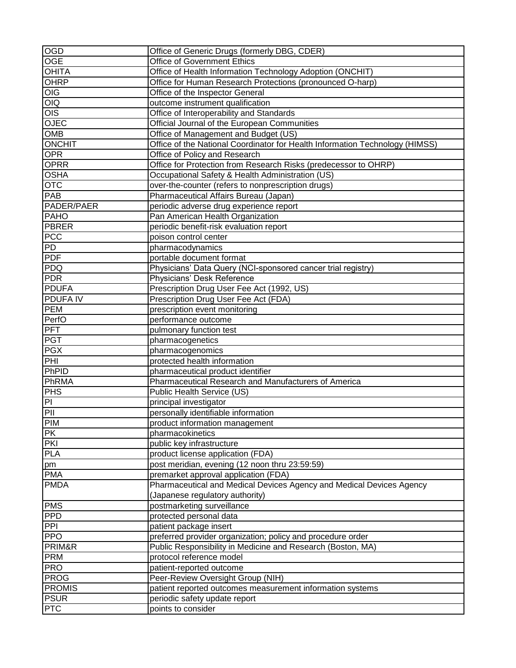| $\overline{OGD}$ | Office of Generic Drugs (formerly DBG, CDER)                                 |
|------------------|------------------------------------------------------------------------------|
| <b>OGE</b>       | <b>Office of Government Ethics</b>                                           |
| <b>OHITA</b>     | Office of Health Information Technology Adoption (ONCHIT)                    |
| OHRP             | Office for Human Research Protections (pronounced O-harp)                    |
| OIG              | Office of the Inspector General                                              |
| O <sub>1</sub>   | outcome instrument qualification                                             |
| $\overline{OS}$  | Office of Interoperability and Standards                                     |
| <b>OJEC</b>      | Official Journal of the European Communities                                 |
| <b>OMB</b>       | Office of Management and Budget (US)                                         |
| <b>ONCHIT</b>    | Office of the National Coordinator for Health Information Technology (HIMSS) |
| <b>OPR</b>       | Office of Policy and Research                                                |
| <b>OPRR</b>      | Office for Protection from Research Risks (predecessor to OHRP)              |
| <b>OSHA</b>      | Occupational Safety & Health Administration (US)                             |
| <b>OTC</b>       | over-the-counter (refers to nonprescription drugs)                           |
| PAB              | Pharmaceutical Affairs Bureau (Japan)                                        |
| PADER/PAER       | periodic adverse drug experience report                                      |
| PAHO             | Pan American Health Organization                                             |
| <b>PBRER</b>     | periodic benefit-risk evaluation report                                      |
| PCC              | poison control center                                                        |
| PD               | pharmacodynamics                                                             |
| <b>PDF</b>       | portable document format                                                     |
| PDQ              |                                                                              |
| PDR              | Physicians' Data Query (NCI-sponsored cancer trial registry)                 |
|                  | Physicians' Desk Reference                                                   |
| <b>PDUFA</b>     | Prescription Drug User Fee Act (1992, US)                                    |
| <b>PDUFAIV</b>   | Prescription Drug User Fee Act (FDA)                                         |
| <b>PEM</b>       | prescription event monitoring                                                |
| PerfO            | performance outcome                                                          |
| $PF\overline{T}$ | pulmonary function test                                                      |
| <b>PGT</b>       | pharmacogenetics                                                             |
| <b>PGX</b>       | pharmacogenomics                                                             |
| PHI              | protected health information                                                 |
| PhPID            | pharmaceutical product identifier                                            |
| PhRMA            | Pharmaceutical Research and Manufacturers of America                         |
| <b>PHS</b>       | Public Health Service (US)                                                   |
| PI               | principal investigator                                                       |
| PII              | personally identifiable information                                          |
| <b>PIM</b>       | product information management                                               |
| <b>PK</b>        | pharmacokinetics                                                             |
| PKI              | public key infrastructure                                                    |
| <b>PLA</b>       | product license application (FDA)                                            |
| pm               | post meridian, evening (12 noon thru 23:59:59)                               |
| <b>PMA</b>       | premarket approval application (FDA)                                         |
| <b>PMDA</b>      | Pharmaceutical and Medical Devices Agency and Medical Devices Agency         |
|                  | (Japanese regulatory authority)                                              |
| PMS              | postmarketing surveillance                                                   |
| <b>PPD</b>       | protected personal data                                                      |
| PPI              | patient package insert                                                       |
| <b>PPO</b>       | preferred provider organization; policy and procedure order                  |
| PRIM&R           | Public Responsibility in Medicine and Research (Boston, MA)                  |
| PRM              | protocol reference model                                                     |
| <b>PRO</b>       | patient-reported outcome                                                     |
| <b>PROG</b>      | Peer-Review Oversight Group (NIH)                                            |
| <b>PROMIS</b>    | patient reported outcomes measurement information systems                    |
| <b>PSUR</b>      | periodic safety update report                                                |
| <b>PTC</b>       | points to consider                                                           |
|                  |                                                                              |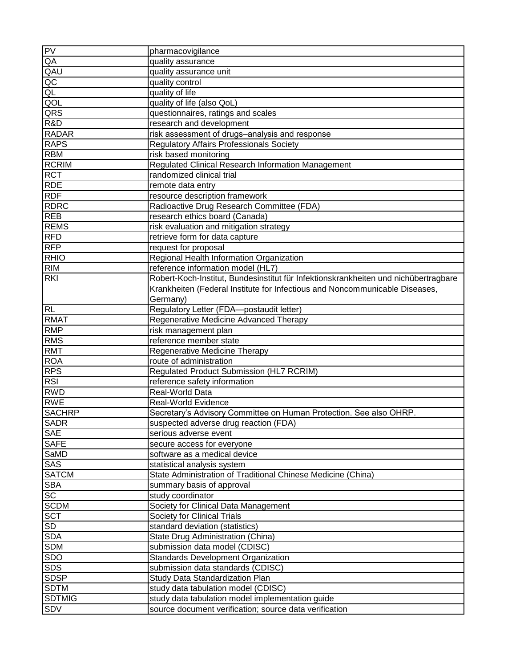| PV              | pharmacovigilance                                                                   |
|-----------------|-------------------------------------------------------------------------------------|
| QA              | quality assurance                                                                   |
| QAU             | quality assurance unit                                                              |
| QC              | quality control                                                                     |
| QL              | quality of life                                                                     |
| QOL             | quality of life (also QoL)                                                          |
| QRS             | questionnaires, ratings and scales                                                  |
| R&D             | research and development                                                            |
| <b>RADAR</b>    | risk assessment of drugs-analysis and response                                      |
| <b>RAPS</b>     | <b>Regulatory Affairs Professionals Society</b>                                     |
| <b>RBM</b>      | risk based monitoring                                                               |
| <b>RCRIM</b>    | Regulated Clinical Research Information Management                                  |
| <b>RCT</b>      | randomized clinical trial                                                           |
| <b>RDE</b>      | remote data entry                                                                   |
| <b>RDF</b>      | resource description framework                                                      |
| <b>RDRC</b>     | Radioactive Drug Research Committee (FDA)                                           |
| <b>REB</b>      | research ethics board (Canada)                                                      |
| <b>REMS</b>     | risk evaluation and mitigation strategy                                             |
| <b>RFD</b>      | retrieve form for data capture                                                      |
| <b>RFP</b>      | request for proposal                                                                |
| <b>RHIO</b>     | Regional Health Information Organization                                            |
| <b>RIM</b>      | reference information model (HL7)                                                   |
| <b>RKI</b>      | Robert-Koch-Institut, Bundesinstitut für Infektionskrankheiten und nichübertragbare |
|                 | Krankheiten (Federal Institute for Infectious and Noncommunicable Diseases,         |
|                 |                                                                                     |
|                 | Germany)                                                                            |
| <b>RL</b>       | Regulatory Letter (FDA-postaudit letter)                                            |
| <b>RMAT</b>     | Regenerative Medicine Advanced Therapy                                              |
| <b>RMP</b>      | risk management plan                                                                |
| <b>RMS</b>      | reference member state                                                              |
| <b>RMT</b>      | Regenerative Medicine Therapy                                                       |
| <b>ROA</b>      | route of administration                                                             |
| <b>RPS</b>      | Regulated Product Submission (HL7 RCRIM)                                            |
| <b>RSI</b>      | reference safety information                                                        |
| <b>RWD</b>      | Real-World Data                                                                     |
| <b>RWE</b>      | Real-World Evidence                                                                 |
| <b>SACHRP</b>   | Secretary's Advisory Committee on Human Protection. See also OHRP.                  |
| <b>SADR</b>     | suspected adverse drug reaction (FDA)                                               |
| <b>SAE</b>      | serious adverse event                                                               |
| <b>SAFE</b>     | secure access for everyone                                                          |
| SaMD            | software as a medical device                                                        |
| <b>SAS</b>      | statistical analysis system                                                         |
| <b>SATCM</b>    | State Administration of Traditional Chinese Medicine (China)                        |
| <b>SBA</b>      | summary basis of approval                                                           |
| $S\overline{C}$ | study coordinator                                                                   |
| <b>SCDM</b>     | Society for Clinical Data Management                                                |
| <b>SCT</b>      | <b>Society for Clinical Trials</b>                                                  |
| SD              | standard deviation (statistics)                                                     |
| <b>SDA</b>      | State Drug Administration (China)                                                   |
| <b>SDM</b>      | submission data model (CDISC)                                                       |
| <b>SDO</b>      | Standards Development Organization                                                  |
| <b>SDS</b>      | submission data standards (CDISC)                                                   |
| <b>SDSP</b>     | Study Data Standardization Plan                                                     |
| <b>SDTM</b>     | study data tabulation model (CDISC)                                                 |
| <b>SDTMIG</b>   | study data tabulation model implementation guide                                    |
| <b>SDV</b>      | source document verification; source data verification                              |
|                 |                                                                                     |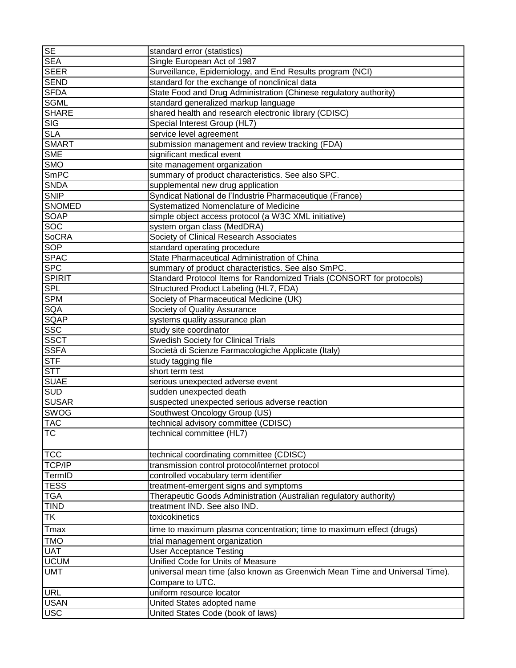| <b>SE</b>     | standard error (statistics)                                                  |
|---------------|------------------------------------------------------------------------------|
| <b>SEA</b>    | Single European Act of 1987                                                  |
| <b>SEER</b>   | Surveillance, Epidemiology, and End Results program (NCI)                    |
| <b>SEND</b>   | standard for the exchange of nonclinical data                                |
| <b>SFDA</b>   | State Food and Drug Administration (Chinese regulatory authority)            |
| <b>SGML</b>   | standard generalized markup language                                         |
| <b>SHARE</b>  | shared health and research electronic library (CDISC)                        |
| <b>SIG</b>    | Special Interest Group (HL7)                                                 |
| <b>SLA</b>    | service level agreement                                                      |
| <b>SMART</b>  | submission management and review tracking (FDA)                              |
| <b>SME</b>    | significant medical event                                                    |
| <b>SMO</b>    | site management organization                                                 |
| <b>SmPC</b>   | summary of product characteristics. See also SPC.                            |
| <b>SNDA</b>   | supplemental new drug application                                            |
| <b>SNIP</b>   | Syndicat National de l'Industrie Pharmaceutique (France)                     |
| <b>SNOMED</b> | Systematized Nomenclature of Medicine                                        |
| <b>SOAP</b>   | simple object access protocol (a W3C XML initiative)                         |
| <b>SOC</b>    | system organ class (MedDRA)                                                  |
| <b>SoCRA</b>  | Society of Clinical Research Associates                                      |
| <b>SOP</b>    |                                                                              |
|               | standard operating procedure<br>State Pharmaceutical Administration of China |
| <b>SPAC</b>   |                                                                              |
| <b>SPC</b>    | summary of product characteristics. See also SmPC.                           |
| <b>SPIRIT</b> | Standard Protocol Items for Randomized Trials (CONSORT for protocols)        |
| <b>SPL</b>    | Structured Product Labeling (HL7, FDA)                                       |
| <b>SPM</b>    | Society of Pharmaceutical Medicine (UK)                                      |
| <b>SQA</b>    | Society of Quality Assurance                                                 |
| <b>SQAP</b>   | systems quality assurance plan                                               |
| <b>SSC</b>    | study site coordinator                                                       |
| <b>SSCT</b>   | <b>Swedish Society for Clinical Trials</b>                                   |
| <b>SSFA</b>   | Società di Scienze Farmacologiche Applicate (Italy)                          |
| <b>STF</b>    | study tagging file                                                           |
| <b>STT</b>    | short term test                                                              |
| <b>SUAE</b>   | serious unexpected adverse event                                             |
| <b>SUD</b>    | sudden unexpected death                                                      |
| <b>SUSAR</b>  | suspected unexpected serious adverse reaction                                |
| <b>SWOG</b>   | Southwest Oncology Group (US)                                                |
| <b>TAC</b>    | technical advisory committee (CDISC)                                         |
| <b>TC</b>     | technical committee (HL7)                                                    |
|               |                                                                              |
| <b>TCC</b>    | technical coordinating committee (CDISC)                                     |
| TCP/IP        | transmission control protocol/internet protocol                              |
| TermID        | controlled vocabulary term identifier                                        |
| <b>TESS</b>   | treatment-emergent signs and symptoms                                        |
| <b>TGA</b>    | Therapeutic Goods Administration (Australian regulatory authority)           |
| <b>TIND</b>   | treatment IND. See also IND.                                                 |
| TK            | toxicokinetics                                                               |
| Tmax          | time to maximum plasma concentration; time to maximum effect (drugs)         |
| <b>TMO</b>    | trial management organization                                                |
| <b>UAT</b>    | <b>User Acceptance Testing</b>                                               |
| <b>UCUM</b>   | Unified Code for Units of Measure                                            |
| <b>UMT</b>    | universal mean time (also known as Greenwich Mean Time and Universal Time).  |
|               | Compare to UTC.                                                              |
| <b>URL</b>    | uniform resource locator                                                     |
| <b>USAN</b>   | United States adopted name                                                   |
| <b>USC</b>    | United States Code (book of laws)                                            |
|               |                                                                              |